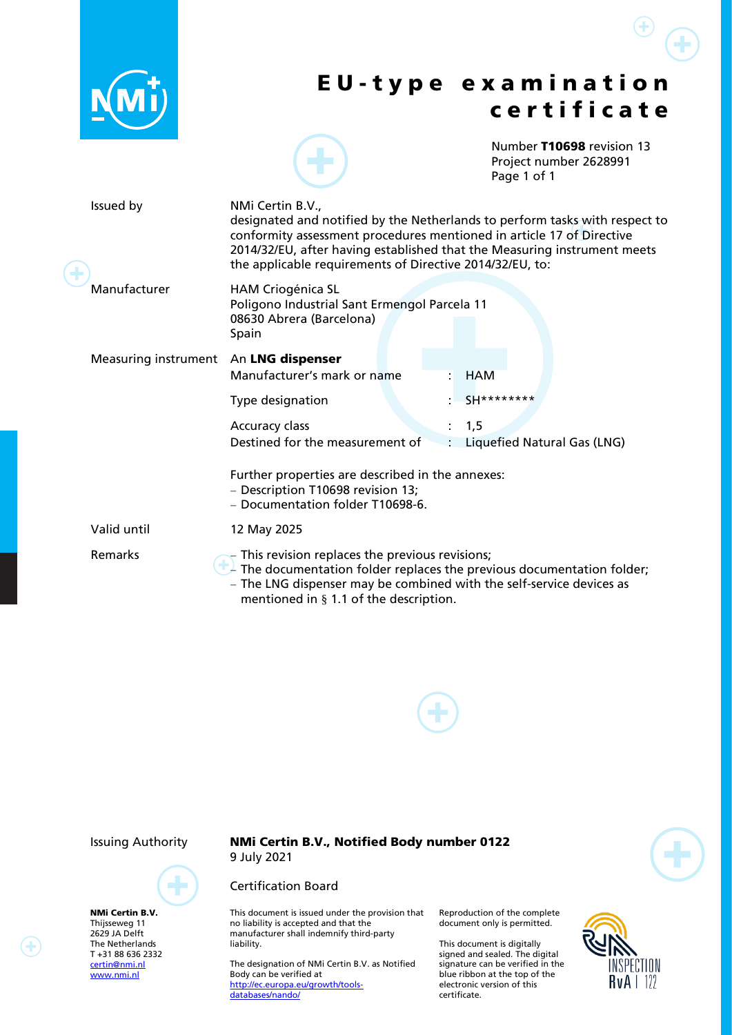|  |                                       | <b>EU-type examination</b><br>certificate                                                                                                                                                                                                                                                                        |
|--|---------------------------------------|------------------------------------------------------------------------------------------------------------------------------------------------------------------------------------------------------------------------------------------------------------------------------------------------------------------|
|  |                                       | Number T10698 revision 13<br>Project number 2628991<br>Page 1 of 1                                                                                                                                                                                                                                               |
|  | Issued by                             | NMi Certin B.V.,<br>designated and notified by the Netherlands to perform tasks with respect to<br>conformity assessment procedures mentioned in article 17 of Directive<br>2014/32/EU, after having established that the Measuring instrument meets<br>the applicable requirements of Directive 2014/32/EU, to: |
|  | Manufacturer                          | <b>HAM Criogénica SL</b><br>Poligono Industrial Sant Ermengol Parcela 11<br>08630 Abrera (Barcelona)<br>Spain                                                                                                                                                                                                    |
|  | Measuring instrument An LNG dispenser | Manufacturer's mark or name<br><b>HAM</b>                                                                                                                                                                                                                                                                        |
|  |                                       | SH********<br>Type designation                                                                                                                                                                                                                                                                                   |
|  |                                       | Accuracy class<br>1,5<br>Destined for the measurement of<br>Liquefied Natural Gas (LNG)<br>÷                                                                                                                                                                                                                     |
|  |                                       | Further properties are described in the annexes:<br>- Description T10698 revision 13;<br>- Documentation folder T10698-6.                                                                                                                                                                                        |
|  | Valid until                           | 12 May 2025                                                                                                                                                                                                                                                                                                      |
|  | Remarks                               | $-$ This revision replaces the previous revisions;<br>$\perp$ The documentation folder replaces the previous documentation folder;<br>- The LNG dispenser may be combined with the self-service devices as<br>mentioned in $\S$ 1.1 of the description.                                                          |





NMi Certin B.V. Thijsseweg 11 2629 JA Delft The Netherlands T +31 88 636 2332 [certin@nmi.nl](mailto:certin@nmi.nl) [www.nmi.nl](http://www.nmi.nl/)

Issuing Authority NMi Certin B.V., Notified Body number 0122 9 July 2021

### Certification Board

This document is issued under the provision that no liability is accepted and that the manufacturer shall indemnify third-party liability.

The designation of NMi Certin B.V. as Notified Body can be verified at [http://ec.europa.eu/growth/tools](http://ec.europa.eu/growth/tools-databases/nando/)[databases/nando/](http://ec.europa.eu/growth/tools-databases/nando/)

Reproduction of the complete document only is permitted.

This document is digitally signed and sealed. The digital signature can be verified in the blue ribbon at the top of the electronic version of this certificate.



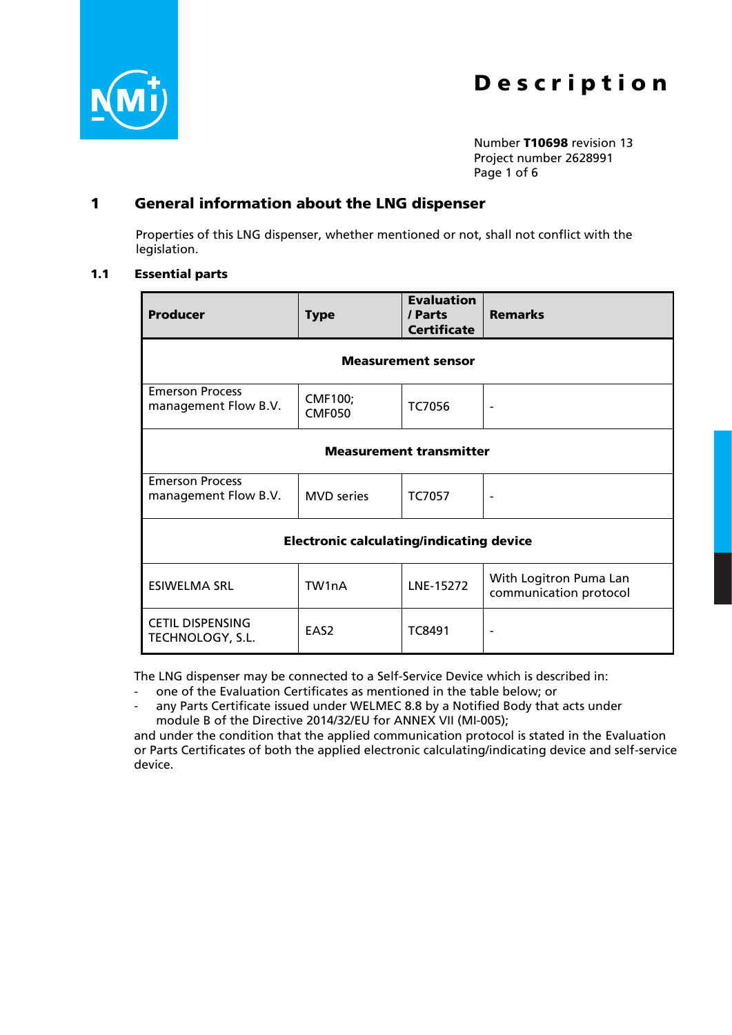

Number T10698 revision 13 Project number 2628991 Page 1 of 6

# 1 General information about the LNG dispenser

Properties of this LNG dispenser, whether mentioned or not, shall not conflict with the legislation.

### <span id="page-1-0"></span>1.1 Essential parts

| <b>Producer</b>                                 | <b>Type</b>                     | <b>Evaluation</b><br>/ Parts<br><b>Certificate</b> | <b>Remarks</b>                                   |  |  |  |  |
|-------------------------------------------------|---------------------------------|----------------------------------------------------|--------------------------------------------------|--|--|--|--|
| <b>Measurement sensor</b>                       |                                 |                                                    |                                                  |  |  |  |  |
| <b>Emerson Process</b><br>management Flow B.V.  | <b>CMF100;</b><br><b>CMF050</b> | <b>TC7056</b>                                      |                                                  |  |  |  |  |
| <b>Measurement transmitter</b>                  |                                 |                                                    |                                                  |  |  |  |  |
| <b>Emerson Process</b><br>management Flow B.V.  | <b>MVD</b> series               | <b>TC7057</b>                                      |                                                  |  |  |  |  |
| <b>Electronic calculating/indicating device</b> |                                 |                                                    |                                                  |  |  |  |  |
| <b>ESIWELMA SRL</b>                             | TW1nA                           | LNE-15272                                          | With Logitron Puma Lan<br>communication protocol |  |  |  |  |
| <b>CETIL DISPENSING</b><br>TECHNOLOGY, S.L.     | EAS <sub>2</sub>                | TC8491                                             | $\overline{\phantom{a}}$                         |  |  |  |  |

The LNG dispenser may be connected to a Self-Service Device which is described in:

- one of the Evaluation Certificates as mentioned in the table below; or
- any Parts Certificate issued under WELMEC 8.8 by a Notified Body that acts under module B of the Directive 2014/32/EU for ANNEX VII (MI-005);

and under the condition that the applied communication protocol is stated in the Evaluation or Parts Certificates of both the applied electronic calculating/indicating device and self-service device.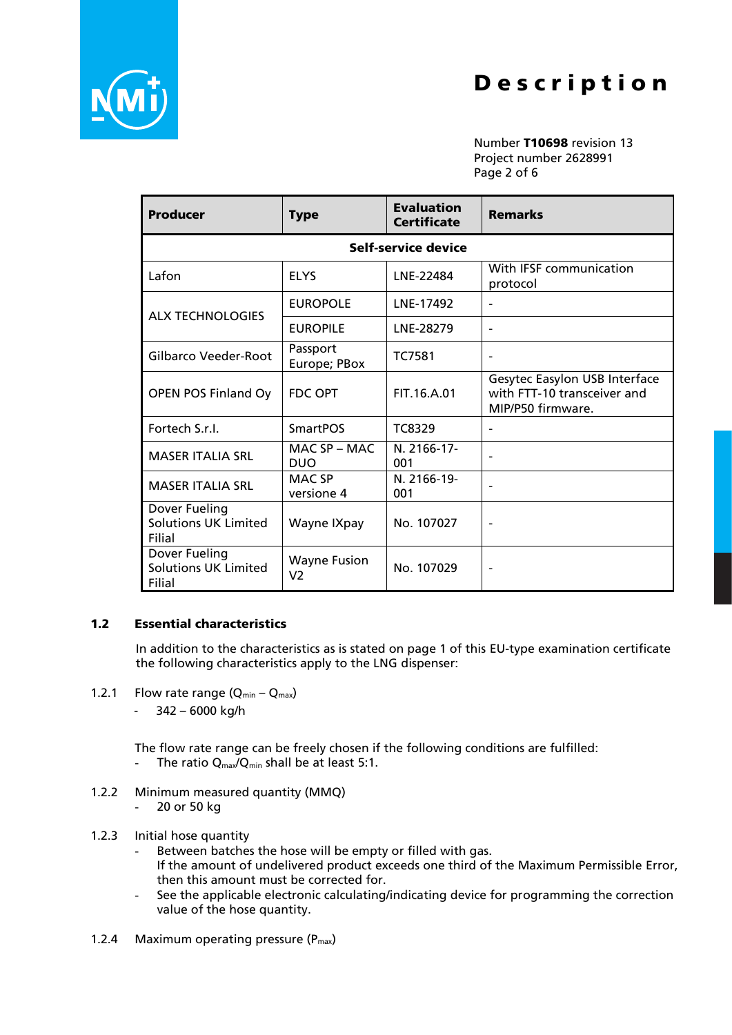

Number T10698 revision 13 Project number 2628991 Page 2 of 6

| <b>Producer</b>                                        | <b>Type</b>                 | <b>Evaluation</b><br><b>Certificate</b> | <b>Remarks</b>                                                                           |  |  |  |  |  |
|--------------------------------------------------------|-----------------------------|-----------------------------------------|------------------------------------------------------------------------------------------|--|--|--|--|--|
| Self-service device                                    |                             |                                         |                                                                                          |  |  |  |  |  |
| Lafon                                                  | <b>ELYS</b>                 | LNE-22484                               | With IFSF communication<br>protocol                                                      |  |  |  |  |  |
| <b>ALX TECHNOLOGIES</b>                                | <b>EUROPOLE</b>             | LNE-17492                               |                                                                                          |  |  |  |  |  |
|                                                        | <b>EUROPILE</b>             | LNE-28279                               | $\qquad \qquad \blacksquare$                                                             |  |  |  |  |  |
| Gilbarco Veeder-Root                                   | Passport<br>Europe; PBox    | <b>TC7581</b>                           |                                                                                          |  |  |  |  |  |
| OPEN POS Finland Oy                                    | <b>FDC OPT</b>              | FIT.16.A.01                             | <b>Gesytec Easylon USB Interface</b><br>with FTT-10 transceiver and<br>MIP/P50 firmware. |  |  |  |  |  |
| Fortech S.r.I.                                         | <b>SmartPOS</b>             | TC8329                                  |                                                                                          |  |  |  |  |  |
| <b>MASER ITALIA SRL</b>                                | MAC SP - MAC<br><b>DUO</b>  | N. 2166-17-<br>001                      |                                                                                          |  |  |  |  |  |
| <b>MASER ITALIA SRL</b>                                | <b>MAC SP</b><br>versione 4 | N. 2166-19-<br>001                      |                                                                                          |  |  |  |  |  |
| Dover Fueling<br><b>Solutions UK Limited</b><br>Filial | Wayne IXpay                 | No. 107027                              |                                                                                          |  |  |  |  |  |
| Dover Fueling<br><b>Solutions UK Limited</b><br>Filial | <b>Wayne Fusion</b><br>V2   | No. 107029                              |                                                                                          |  |  |  |  |  |

## 1.2 Essential characteristics

In addition to the characteristics as is stated on page 1 of this EU-type examination certificate the following characteristics apply to the LNG dispenser:

- 1.2.1 Flow rate range  $(Q_{min} Q_{max})$ 
	- 342 6000 kg/h

The flow rate range can be freely chosen if the following conditions are fulfilled:

- The ratio  $Q_{\text{max}}/Q_{\text{min}}$  shall be at least 5:1.
- 1.2.2 Minimum measured quantity (MMQ)
	- 20 or 50 kg
- 1.2.3 Initial hose quantity
	- Between batches the hose will be empty or filled with gas. If the amount of undelivered product exceeds one third of the Maximum Permissible Error, then this amount must be corrected for.
	- See the applicable electronic calculating/indicating device for programming the correction value of the hose quantity.
- 1.2.4 Maximum operating pressure  $(P_{max})$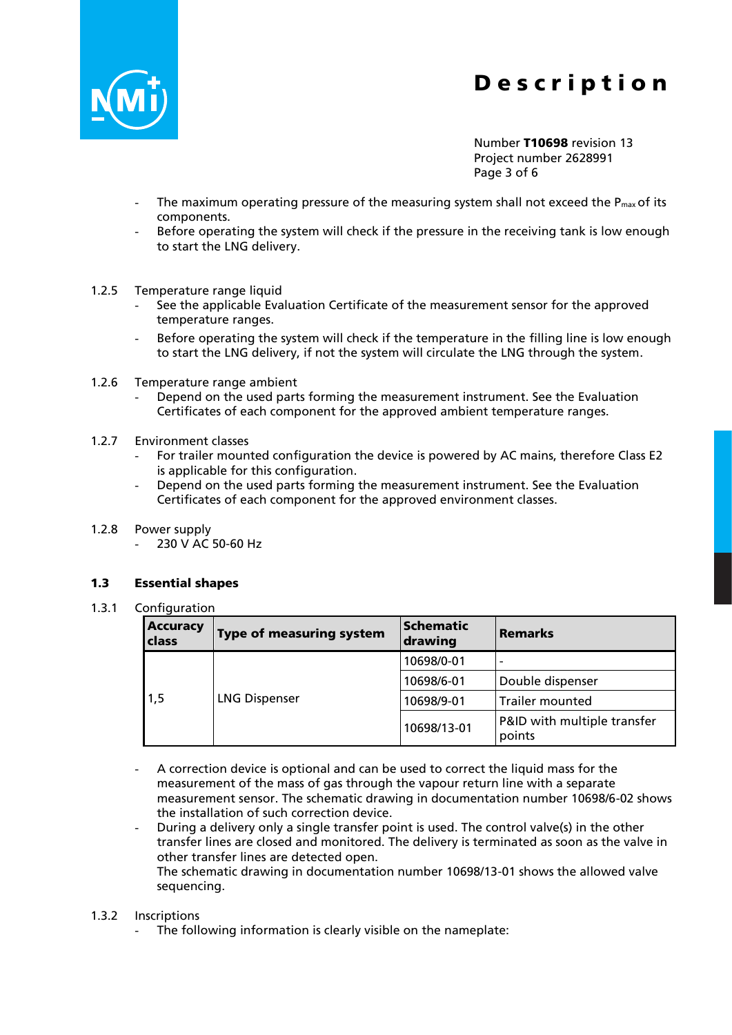

Number T10698 revision 13 Project number 2628991 Page 3 of 6

- The maximum operating pressure of the measuring system shall not exceed the  $P_{max}$  of its components.
- Before operating the system will check if the pressure in the receiving tank is low enough to start the LNG delivery.
- 1.2.5 Temperature range liquid
	- See the applicable Evaluation Certificate of the measurement sensor for the approved temperature ranges.
	- Before operating the system will check if the temperature in the filling line is low enough to start the LNG delivery, if not the system will circulate the LNG through the system.
- 1.2.6 Temperature range ambient
	- Depend on the used parts forming the measurement instrument. See the Evaluation Certificates of each component for the approved ambient temperature ranges.
- 1.2.7 Environment classes
	- For trailer mounted configuration the device is powered by AC mains, therefore Class E2 is applicable for this configuration.
	- Depend on the used parts forming the measurement instrument. See the Evaluation Certificates of each component for the approved environment classes.
- 1.2.8 Power supply
	- 230 V AC 50-60 Hz

### 1.3 Essential shapes

1.3.1 Configuration

| <b>Accuracy</b><br>class | <b>Type of measuring system</b> | <b>Schematic</b><br>drawing | <b>Remarks</b>                        |
|--------------------------|---------------------------------|-----------------------------|---------------------------------------|
|                          | <b>LNG Dispenser</b>            | 10698/0-01                  | $\overline{\phantom{a}}$              |
|                          |                                 | 10698/6-01                  | Double dispenser                      |
| 1,5                      |                                 | 10698/9-01                  | Trailer mounted                       |
|                          |                                 | 10698/13-01                 | P&ID with multiple transfer<br>points |

- A correction device is optional and can be used to correct the liquid mass for the measurement of the mass of gas through the vapour return line with a separate measurement sensor. The schematic drawing in documentation number 10698/6-02 shows the installation of such correction device.
- During a delivery only a single transfer point is used. The control valve(s) in the other transfer lines are closed and monitored. The delivery is terminated as soon as the valve in other transfer lines are detected open. The schematic drawing in documentation number 10698/13-01 shows the allowed valve sequencing.

### 1.3.2 Inscriptions

The following information is clearly visible on the nameplate: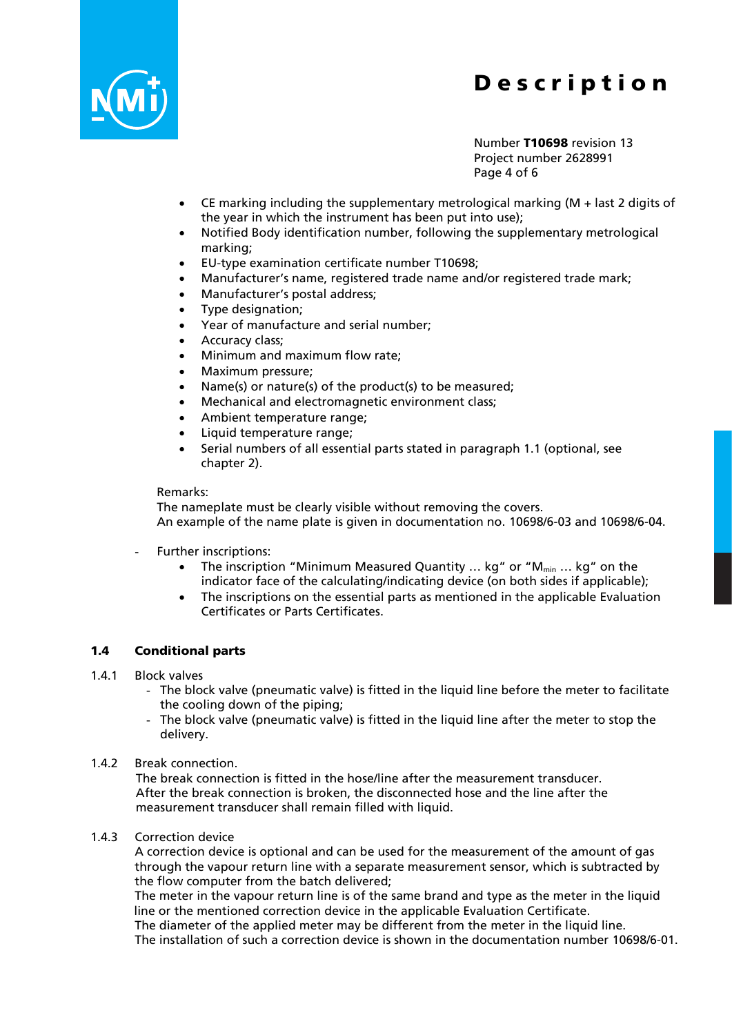

Number T10698 revision 13 Project number 2628991 Page 4 of 6

- CE marking including the supplementary metrological marking  $(M +$  last 2 digits of the year in which the instrument has been put into use);
- Notified Body identification number, following the supplementary metrological marking;
- EU-type examination certificate number T10698;
- Manufacturer's name, registered trade name and/or registered trade mark;
- Manufacturer's postal address;
- Type designation;
- Year of manufacture and serial number;
- Accuracy class;
- Minimum and maximum flow rate;
- Maximum pressure;
- Name(s) or nature(s) of the product(s) to be measured;
- Mechanical and electromagnetic environment class;
- Ambient temperature range;
- Liquid temperature range;
- Serial numbers of all essential parts stated in paragraph [1.1](#page-1-0) (optional, see chapter [2\)](#page-5-0).

#### Remarks:

The nameplate must be clearly visible without removing the covers. An example of the name plate is given in documentation no. 10698/6-03 and 10698/6-04.

- Further inscriptions:
	- The inscription "Minimum Measured Quantity ... kg" or " $M_{min}$  ... kg" on the indicator face of the calculating/indicating device (on both sides if applicable);
	- The inscriptions on the essential parts as mentioned in the applicable Evaluation Certificates or Parts Certificates.

### 1.4 Conditional parts

- 1.4.1 Block valves
	- The block valve (pneumatic valve) is fitted in the liquid line before the meter to facilitate the cooling down of the piping;
	- The block valve (pneumatic valve) is fitted in the liquid line after the meter to stop the delivery.
- 1.4.2 Break connection.

The break connection is fitted in the hose/line after the measurement transducer. After the break connection is broken, the disconnected hose and the line after the measurement transducer shall remain filled with liquid.

1.4.3 Correction device

A correction device is optional and can be used for the measurement of the amount of gas through the vapour return line with a separate measurement sensor, which is subtracted by the flow computer from the batch delivered;

The meter in the vapour return line is of the same brand and type as the meter in the liquid line or the mentioned correction device in the applicable Evaluation Certificate.

The diameter of the applied meter may be different from the meter in the liquid line. The installation of such a correction device is shown in the documentation number 10698/6-01.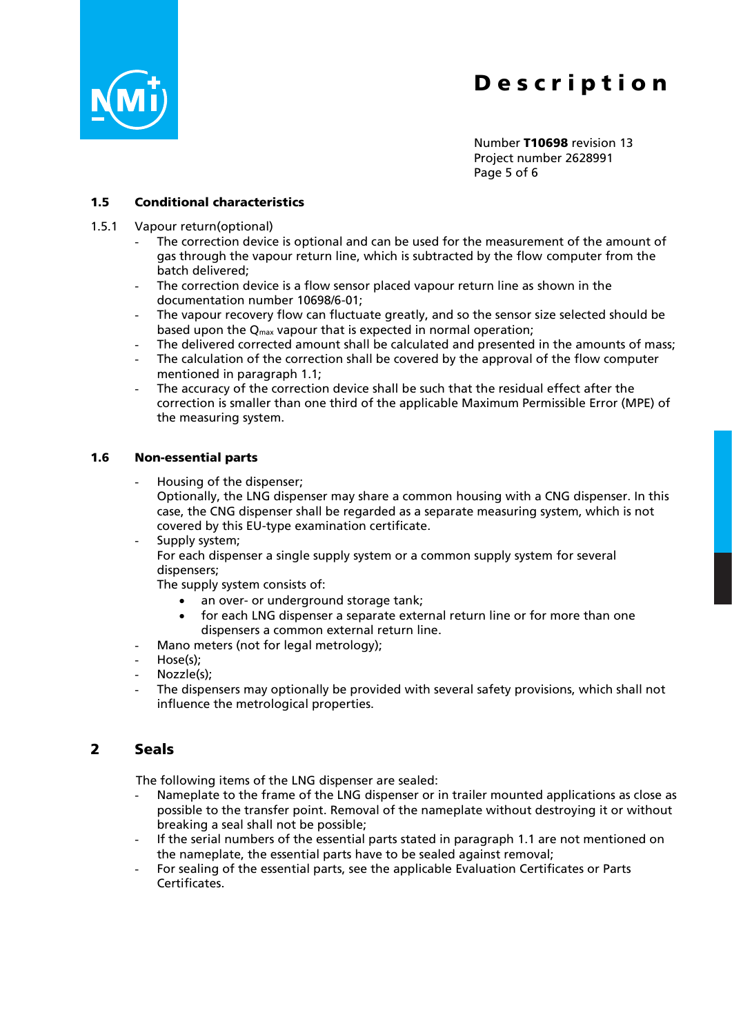

Number T10698 revision 13 Project number 2628991 Page 5 of 6

### 1.5 Conditional characteristics

- 1.5.1 Vapour return(optional)
	- The correction device is optional and can be used for the measurement of the amount of gas through the vapour return line, which is subtracted by the flow computer from the batch delivered;
	- The correction device is a flow sensor placed vapour return line as shown in the documentation number 10698/6-01;
	- The vapour recovery flow can fluctuate greatly, and so the sensor size selected should be based upon the  $Q_{\text{max}}$  vapour that is expected in normal operation;
	- The delivered corrected amount shall be calculated and presented in the amounts of mass;
	- The calculation of the correction shall be covered by the approval of the flow computer mentioned in paragraph [1.1;](#page-1-0)
	- The accuracy of the correction device shall be such that the residual effect after the correction is smaller than one third of the applicable Maximum Permissible Error (MPE) of the measuring system.

#### 1.6 Non-essential parts

- Housing of the dispenser; Optionally, the LNG dispenser may share a common housing with a CNG dispenser. In this case, the CNG dispenser shall be regarded as a separate measuring system, which is not covered by this EU-type examination certificate.
- Supply system; For each dispenser a single supply system or a common supply system for several dispensers;

The supply system consists of:

- an over- or underground storage tank;
- for each LNG dispenser a separate external return line or for more than one dispensers a common external return line.
- Mano meters (not for legal metrology);
- Hose(s);
- Nozzle(s);
- The dispensers may optionally be provided with several safety provisions, which shall not influence the metrological properties.

## <span id="page-5-0"></span>2 Seals

The following items of the LNG dispenser are sealed:

- Nameplate to the frame of the LNG dispenser or in trailer mounted applications as close as possible to the transfer point. Removal of the nameplate without destroying it or without breaking a seal shall not be possible;
- If the serial numbers of the essential parts stated in paragraph [1.1](#page-1-0) are not mentioned on the nameplate, the essential parts have to be sealed against removal;
- For sealing of the essential parts, see the applicable Evaluation Certificates or Parts Certificates.